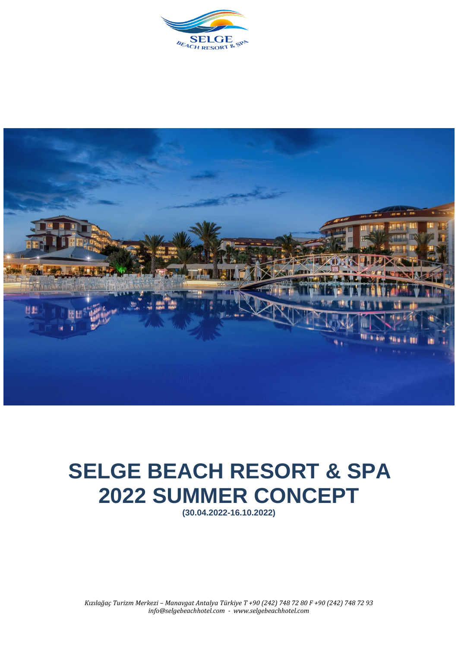



## **SELGE BEACH RESORT & SPA 2022 SUMMER CONCEPT**

**(30.04.2022-16.10.2022)**

*Kızılağaç Turizm Merkezi – Manavgat Antalya Türkiye T +90 (242) 748 72 80 F +90 (242) 748 72 93 info@selgebeachhotel.com - www.selgebeachhotel.com*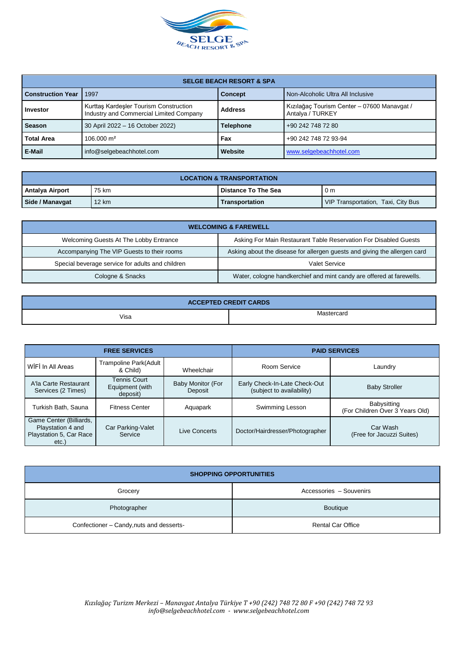

| <b>SELGE BEACH RESORT &amp; SPA</b> |                                                                                   |                |                                                                 |  |  |
|-------------------------------------|-----------------------------------------------------------------------------------|----------------|-----------------------------------------------------------------|--|--|
| <b>Construction Year</b>            | 1997                                                                              | <b>Concept</b> | Non-Alcoholic Ultra All Inclusive                               |  |  |
| <b>Investor</b>                     | Kurttas Kardesler Tourism Construction<br>Industry and Commercial Limited Company | <b>Address</b> | Kızılağaç Tourism Center - 07600 Manavgat /<br>Antalya / TURKEY |  |  |
| <b>Season</b>                       | <b>Telephone</b><br>30 April 2022 - 16 October 2022)                              |                | +90 242 748 72 80                                               |  |  |
| <b>Total Area</b>                   | $106.000 \text{ m}^2$                                                             | Fax            | +90 242 748 72 93-94                                            |  |  |
| E-Mail                              | info@selgebeachhotel.com                                                          | Website        | www.selgebeachhotel.com                                         |  |  |

| <b>LOCATION &amp; TRANSPORTATION</b>                                |       |                |                                    |  |
|---------------------------------------------------------------------|-------|----------------|------------------------------------|--|
| Antalya Airport<br>75 km<br>l Distance To The Sea<br>0 <sub>m</sub> |       |                |                                    |  |
| Side / Manavgat                                                     | 12 km | Transportation | VIP Transportation, Taxi, City Bus |  |

| <b>WELCOMING &amp; FAREWELL</b>                  |                                                                           |  |  |
|--------------------------------------------------|---------------------------------------------------------------------------|--|--|
| Welcoming Guests At The Lobby Entrance           | Asking For Main Restaurant Table Reservation For Disabled Guests          |  |  |
| Accompanying The VIP Guests to their rooms       | Asking about the disease for allergen guests and giving the allergen card |  |  |
| Special beverage service for adults and children | Valet Service                                                             |  |  |
| Cologne & Snacks                                 | Water, cologne handkerchief and mint candy are offered at farewells.      |  |  |

| <b>ACCEPTED CREDIT CARDS</b> |        |  |  |
|------------------------------|--------|--|--|
| Visa<br>$  -$                | ≅rcaru |  |  |

| <b>FREE SERVICES</b>                                                            |                                                    |                              | <b>PAID SERVICES</b>                                       |                                                |  |
|---------------------------------------------------------------------------------|----------------------------------------------------|------------------------------|------------------------------------------------------------|------------------------------------------------|--|
| WIFI In All Areas                                                               | Trampoline Park(Adult<br>& Child)                  | Wheelchair                   | Room Service                                               | Laundry                                        |  |
| A'la Carte Restaurant<br>Services (2 Times)                                     | <b>Tennis Court</b><br>Equipment (with<br>deposit) | Baby Monitor (For<br>Deposit | Early Check-In-Late Check-Out<br>(subject to availability) | <b>Baby Stroller</b>                           |  |
| Turkish Bath, Sauna                                                             | <b>Fitness Center</b>                              | Aquapark                     | Swimming Lesson                                            | Babysitting<br>(For Children Over 3 Years Old) |  |
| Game Center (Billiards,<br>Playstation 4 and<br>Playstation 5, Car Race<br>etc. | Car Parking-Valet<br>Service                       | Live Concerts                | Doctor/Hairdresser/Photographer                            | Car Wash<br>(Free for Jacuzzi Suites)          |  |

| <b>SHOPPING OPPORTUNITIES</b>            |                          |  |  |
|------------------------------------------|--------------------------|--|--|
| Grocery                                  | Accessories - Souvenirs  |  |  |
| Photographer                             | <b>Boutique</b>          |  |  |
| Confectioner - Candy, nuts and desserts- | <b>Rental Car Office</b> |  |  |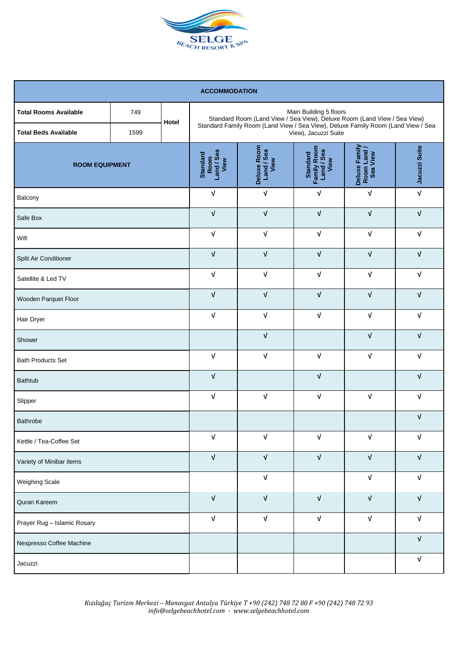

| <b>ACCOMMODATION</b>                                        |             |                                               |                                   |                                                                                                                                                              |                                                |                           |                           |
|-------------------------------------------------------------|-------------|-----------------------------------------------|-----------------------------------|--------------------------------------------------------------------------------------------------------------------------------------------------------------|------------------------------------------------|---------------------------|---------------------------|
| <b>Total Rooms Available</b><br><b>Total Beds Available</b> | 749<br>1599 | Hotel                                         |                                   | Standard Room (Land View / Sea View), Deluxe Room (Land View / Sea View)<br>Standard Family Room (Land View / Sea View), Deluxe Family Room (Land View / Sea | Main Building 5 floors<br>View), Jacuzzi Suite |                           |                           |
| <b>ROOM EQUIPMENT</b>                                       |             | Room<br>Land / Sea<br>View<br><b>Standard</b> | Deluxe Room<br>Land / Sea<br>View | Standard<br>Family Room<br>Land / Sea<br>View                                                                                                                | Deluxe Family<br>Room Land /<br>Sea View       | Jacuzzi Suite             |                           |
| Balcony                                                     |             |                                               | $\sqrt{ }$                        | $\sqrt{ }$                                                                                                                                                   | V                                              | $\ensuremath{\mathsf{V}}$ | $\sqrt{ }$                |
| Safe Box                                                    |             |                                               | $\sqrt{ }$                        | $\sqrt{ }$                                                                                                                                                   | V                                              | $\sqrt{ }$                | $\sqrt{ }$                |
| Wifi                                                        |             |                                               | $\sqrt{ }$                        | $\sqrt{ }$                                                                                                                                                   | $\sqrt{ }$                                     | $\sqrt{ }$                | $\sqrt{ }$                |
| Split Air Conditioner                                       |             |                                               | $\sqrt{ }$                        | $\sqrt{ }$                                                                                                                                                   | $\sqrt{ }$                                     | $\sqrt{ }$                | $\sqrt{ }$                |
| Satellite & Led TV                                          |             |                                               | $\sqrt{ }$                        | $\sqrt{ }$                                                                                                                                                   | $\sqrt{ }$                                     | $\sqrt{ }$                | $\ensuremath{\mathsf{V}}$ |
| Wooden Parquet Floor                                        |             |                                               | $\sqrt{ }$                        | $\sqrt{ }$                                                                                                                                                   | $\sqrt{ }$                                     | $\sqrt{ }$                | $\sqrt{ }$                |
| Hair Dryer                                                  |             |                                               | $\sqrt{ }$                        | $\sqrt{ }$                                                                                                                                                   | $\sqrt{ }$                                     | $\sqrt{ }$                | $\sqrt{ }$                |
| Shower                                                      |             |                                               | $\sqrt{ }$                        |                                                                                                                                                              | $\sqrt{ }$                                     | $\sqrt{ }$                |                           |
| <b>Bath Products Set</b>                                    |             |                                               | $\sqrt{ }$                        | $\sqrt{ }$                                                                                                                                                   | $\sqrt{ }$                                     | $\sqrt{ }$                | $\sqrt{ }$                |
| <b>Bathtub</b>                                              |             |                                               | $\sqrt{ }$                        |                                                                                                                                                              | $\sqrt{ }$                                     |                           | $\sqrt{ }$                |
| Slipper                                                     |             |                                               | $\sqrt{ }$                        | $\sqrt{ }$                                                                                                                                                   | V                                              | V                         | $\sqrt{ }$                |
| Bathrobe                                                    |             |                                               |                                   |                                                                                                                                                              |                                                |                           | $\sqrt{ }$                |
| Kettle / Tea-Coffee Set                                     |             |                                               | $\sqrt{ }$                        | $\sqrt{ }$                                                                                                                                                   | $\sqrt{ }$                                     | $\sqrt{ }$                | $\ensuremath{\mathsf{V}}$ |
| Variety of Minibar items                                    |             | $\sqrt{ }$                                    | $\sqrt{ }$                        | $\sqrt{ }$                                                                                                                                                   | $\sqrt{ }$                                     | $\ensuremath{\mathsf{V}}$ |                           |
| <b>Weighing Scale</b>                                       |             |                                               | $\sqrt{ }$                        |                                                                                                                                                              | $\sqrt{ }$                                     | $\sqrt{ }$                |                           |
| Quran Kareem                                                |             | $\sqrt{ }$                                    | $\sqrt{ }$                        | $\sqrt{ }$                                                                                                                                                   | $\sqrt{ }$                                     | $\ensuremath{\mathsf{V}}$ |                           |
| Prayer Rug - Islamic Rosary                                 |             | $\sqrt{ }$                                    | $\ensuremath{\mathsf{V}}$         | $\sqrt{ }$                                                                                                                                                   | $\sqrt{ }$                                     | $\ensuremath{\mathsf{V}}$ |                           |
| Nespresso Coffee Machine                                    |             |                                               |                                   |                                                                                                                                                              |                                                |                           | $\ensuremath{\mathsf{V}}$ |
| Jacuzzi                                                     |             |                                               |                                   |                                                                                                                                                              |                                                | $\ensuremath{\mathsf{V}}$ |                           |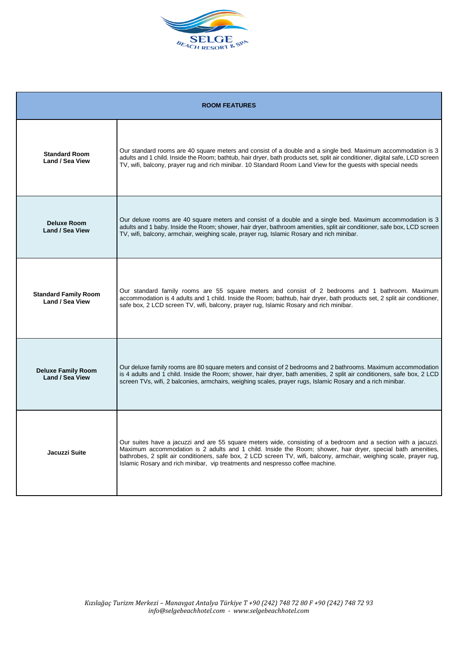

| <b>ROOM FEATURES</b>                                |                                                                                                                                                                                                                                                                                                                                                                                                                                        |  |  |  |
|-----------------------------------------------------|----------------------------------------------------------------------------------------------------------------------------------------------------------------------------------------------------------------------------------------------------------------------------------------------------------------------------------------------------------------------------------------------------------------------------------------|--|--|--|
| <b>Standard Room</b><br><b>Land / Sea View</b>      | Our standard rooms are 40 square meters and consist of a double and a single bed. Maximum accommodation is 3<br>adults and 1 child. Inside the Room; bathtub, hair dryer, bath products set, split air conditioner, digital safe, LCD screen<br>TV, wifi, balcony, prayer rug and rich minibar. 10 Standard Room Land View for the guests with special needs                                                                           |  |  |  |
| <b>Deluxe Room</b><br><b>Land / Sea View</b>        | Our deluxe rooms are 40 square meters and consist of a double and a single bed. Maximum accommodation is 3<br>adults and 1 baby. Inside the Room; shower, hair dryer, bathroom amenities, split air conditioner, safe box, LCD screen<br>TV, wifi, balcony, armchair, weighing scale, prayer rug, Islamic Rosary and rich minibar.                                                                                                     |  |  |  |
| <b>Standard Family Room</b><br>Land / Sea View      | Our standard family rooms are 55 square meters and consist of 2 bedrooms and 1 bathroom. Maximum<br>accommodation is 4 adults and 1 child. Inside the Room; bathtub, hair dryer, bath products set, 2 split air conditioner,<br>safe box, 2 LCD screen TV, wifi, balcony, prayer rug, Islamic Rosary and rich minibar.                                                                                                                 |  |  |  |
| <b>Deluxe Family Room</b><br><b>Land / Sea View</b> | Our deluxe family rooms are 80 square meters and consist of 2 bedrooms and 2 bathrooms. Maximum accommodation<br>is 4 adults and 1 child. Inside the Room; shower, hair dryer, bath amenities, 2 split air conditioners, safe box, 2 LCD<br>screen TVs, wifi, 2 balconies, armchairs, weighing scales, prayer rugs, Islamic Rosary and a rich minibar.                                                                                 |  |  |  |
| Jacuzzi Suite                                       | Our suites have a jacuzzi and are 55 square meters wide, consisting of a bedroom and a section with a jacuzzi.<br>Maximum accommodation is 2 adults and 1 child. Inside the Room; shower, hair dryer, special bath amenities,<br>bathrobes, 2 split air conditioners, safe box, 2 LCD screen TV, wifi, balcony, armchair, weighing scale, prayer rug,<br>Islamic Rosary and rich minibar, vip treatments and nespresso coffee machine. |  |  |  |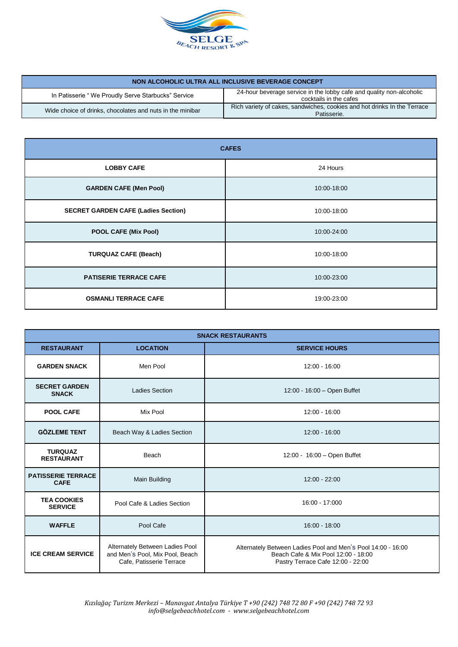

| NON ALCOHOLIC ULTRA ALL INCLUSIVE BEVERAGE CONCEPT        |                                                                                                |  |  |  |
|-----------------------------------------------------------|------------------------------------------------------------------------------------------------|--|--|--|
| In Patisserie "We Proudly Serve Starbucks" Service        | 24-hour beverage service in the lobby cafe and quality non-alcoholic<br>cocktails in the cafes |  |  |  |
| Wide choice of drinks, chocolates and nuts in the minibar | Rich variety of cakes, sandwiches, cookies and hot drinks In the Terrace<br>Patisserie.        |  |  |  |

| <b>CAFES</b>                               |             |  |  |
|--------------------------------------------|-------------|--|--|
| <b>LOBBY CAFE</b>                          | 24 Hours    |  |  |
| <b>GARDEN CAFE (Men Pool)</b>              | 10:00-18:00 |  |  |
| <b>SECRET GARDEN CAFE (Ladies Section)</b> | 10:00-18:00 |  |  |
| <b>POOL CAFE (Mix Pool)</b>                | 10:00-24:00 |  |  |
| <b>TURQUAZ CAFE (Beach)</b>                | 10:00-18:00 |  |  |
| <b>PATISERIE TERRACE CAFE</b>              | 10:00-23:00 |  |  |
| <b>OSMANLI TERRACE CAFE</b>                | 19:00-23:00 |  |  |

| <b>SNACK RESTAURANTS</b>                                           |                                                                                                |                                                                                                                                          |  |  |  |
|--------------------------------------------------------------------|------------------------------------------------------------------------------------------------|------------------------------------------------------------------------------------------------------------------------------------------|--|--|--|
| <b>RESTAURANT</b>                                                  | <b>LOCATION</b>                                                                                | <b>SERVICE HOURS</b>                                                                                                                     |  |  |  |
| <b>GARDEN SNACK</b>                                                | Men Pool                                                                                       | 12:00 - 16:00                                                                                                                            |  |  |  |
| <b>SECRET GARDEN</b><br><b>SNACK</b>                               | Ladies Section                                                                                 | 12:00 - 16:00 - Open Buffet                                                                                                              |  |  |  |
| <b>POOL CAFE</b>                                                   | Mix Pool                                                                                       | 12:00 - 16:00                                                                                                                            |  |  |  |
| <b>GÖZLEME TENT</b>                                                | Beach Way & Ladies Section                                                                     | $12:00 - 16:00$                                                                                                                          |  |  |  |
| <b>TURQUAZ</b><br>Beach<br><b>RESTAURANT</b>                       |                                                                                                | 12:00 - 16:00 - Open Buffet                                                                                                              |  |  |  |
| <b>PATISSERIE TERRACE</b><br>Main Building<br><b>CAFE</b>          |                                                                                                | 12:00 - 22:00                                                                                                                            |  |  |  |
| <b>TEA COOKIES</b><br>Pool Cafe & Ladies Section<br><b>SERVICE</b> |                                                                                                | 16:00 - 17:000                                                                                                                           |  |  |  |
| <b>WAFFLE</b><br>Pool Cafe                                         |                                                                                                | $16:00 - 18:00$                                                                                                                          |  |  |  |
| <b>ICE CREAM SERVICE</b>                                           | Alternately Between Ladies Pool<br>and Men's Pool, Mix Pool, Beach<br>Cafe, Patisserie Terrace | Alternately Between Ladies Pool and Men's Pool 14:00 - 16:00<br>Beach Cafe & Mix Pool 12:00 - 18:00<br>Pastry Terrace Cafe 12:00 - 22:00 |  |  |  |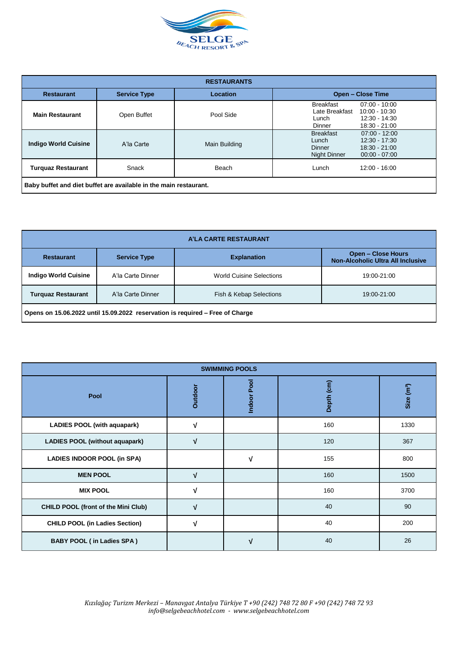

| <b>RESTAURANTS</b>                                                |                     |               |                                                                                                                                      |  |  |
|-------------------------------------------------------------------|---------------------|---------------|--------------------------------------------------------------------------------------------------------------------------------------|--|--|
| <b>Restaurant</b>                                                 | <b>Service Type</b> | Location      | <b>Open - Close Time</b>                                                                                                             |  |  |
| <b>Main Restaurant</b>                                            | Open Buffet         | Pool Side     | <b>Breakfast</b><br>$07:00 - 10:00$<br>Late Breakfast<br>$10:00 - 10:30$<br>12:30 - 14:30<br>Lunch<br>18:30 - 21:00<br>Dinner        |  |  |
| <b>Indigo World Cuisine</b>                                       | A'la Carte          | Main Building | <b>Breakfast</b><br>$07:00 - 12:00$<br>12:30 - 17:30<br>Lunch<br>$18:30 - 21:00$<br>Dinner<br><b>Night Dinner</b><br>$00:00 - 07:00$ |  |  |
| <b>Turquaz Restaurant</b>                                         | Snack               | Beach         | 12:00 - 16:00<br>Lunch                                                                                                               |  |  |
| Baby buffet and diet buffet are available in the main restaurant. |                     |               |                                                                                                                                      |  |  |

| A'LA CARTE RESTAURANT                                                         |                     |                                 |                                                                |
|-------------------------------------------------------------------------------|---------------------|---------------------------------|----------------------------------------------------------------|
| <b>Restaurant</b>                                                             | <b>Service Type</b> | <b>Explanation</b>              | <b>Open - Close Hours</b><br>Non-Alcoholic Ultra All Inclusive |
| <b>Indigo World Cuisine</b>                                                   | A'la Carte Dinner   | <b>World Cuisine Selections</b> | 19:00-21:00                                                    |
| <b>Turquaz Restaurant</b>                                                     | A'la Carte Dinner   | Fish & Kebap Selections         | 19:00-21:00                                                    |
| Opens on 15.06.2022 until 15.09.2022 reservation is required – Free of Charge |                     |                                 |                                                                |

| <b>SWIMMING POOLS</b>                      |                |                       |            |                        |
|--------------------------------------------|----------------|-----------------------|------------|------------------------|
| Pool                                       | <b>Outdoor</b> | Pool<br><b>Indoor</b> | Depth (cm) | Size (m <sup>3</sup> ) |
| <b>LADIES POOL (with aquapark)</b>         | V              |                       | 160        | 1330                   |
| <b>LADIES POOL (without aquapark)</b>      | V              |                       | 120        | 367                    |
| <b>LADIES INDOOR POOL (in SPA)</b>         |                | V                     | 155        | 800                    |
| <b>MEN POOL</b>                            | $\sqrt{ }$     |                       | 160        | 1500                   |
| <b>MIX POOL</b>                            | V              |                       | 160        | 3700                   |
| <b>CHILD POOL (front of the Mini Club)</b> | V              |                       | 40         | 90                     |
| <b>CHILD POOL (in Ladies Section)</b>      | V              |                       | 40         | 200                    |
| <b>BABY POOL (in Ladies SPA)</b>           |                | V                     | 40         | 26                     |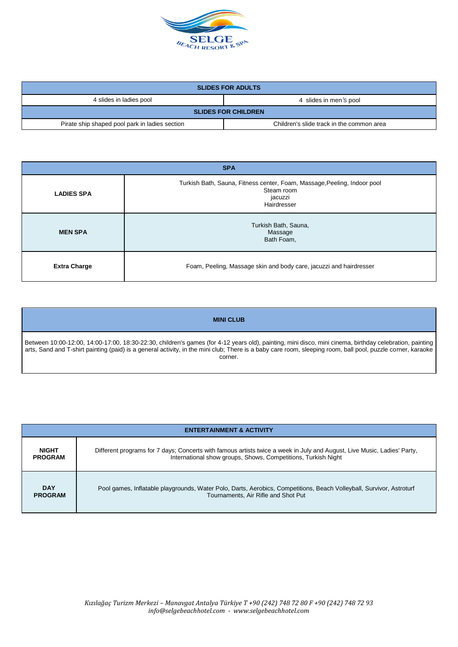

| <b>SLIDES FOR ADULTS</b>                       |                                           |  |
|------------------------------------------------|-------------------------------------------|--|
| 4 slides in ladies pool                        | 4 slides in men's pool                    |  |
| <b>SLIDES FOR CHILDREN</b>                     |                                           |  |
| Pirate ship shaped pool park in ladies section | Children's slide track in the common area |  |

| <b>SPA</b>          |                                                                                                                  |  |
|---------------------|------------------------------------------------------------------------------------------------------------------|--|
| <b>LADIES SPA</b>   | Turkish Bath, Sauna, Fitness center, Foam, Massage, Peeling, Indoor pool<br>Steam room<br>jacuzzi<br>Hairdresser |  |
| <b>MEN SPA</b>      | Turkish Bath, Sauna,<br>Massage<br>Bath Foam,                                                                    |  |
| <b>Extra Charge</b> | Foam, Peeling, Massage skin and body care, jacuzzi and hairdresser                                               |  |

## **MINI CLUB**

Between 10:00-12:00, 14:00-17:00, 18:30-22:30, children's games (for 4-12 years old), painting, mini disco, mini cinema, birthday celebration, painting arts, Sand and T-shirt painting (paid) is a general activity, in the mini club; There is a baby care room, sleeping room, ball pool, puzzle corner, karaoke corner.

| <b>ENTERTAINMENT &amp; ACTIVITY</b> |                                                                                                                         |  |
|-------------------------------------|-------------------------------------------------------------------------------------------------------------------------|--|
| <b>NIGHT</b>                        | Different programs for 7 days; Concerts with famous artists twice a week in July and August, Live Music, Ladies' Party, |  |
| <b>PROGRAM</b>                      | International show groups, Shows, Competitions, Turkish Night                                                           |  |
| <b>DAY</b>                          | Pool games, Inflatable playgrounds, Water Polo, Darts, Aerobics, Competitions, Beach Volleyball, Survivor, Astroturf    |  |
| <b>PROGRAM</b>                      | Tournaments, Air Rifle and Shot Put                                                                                     |  |